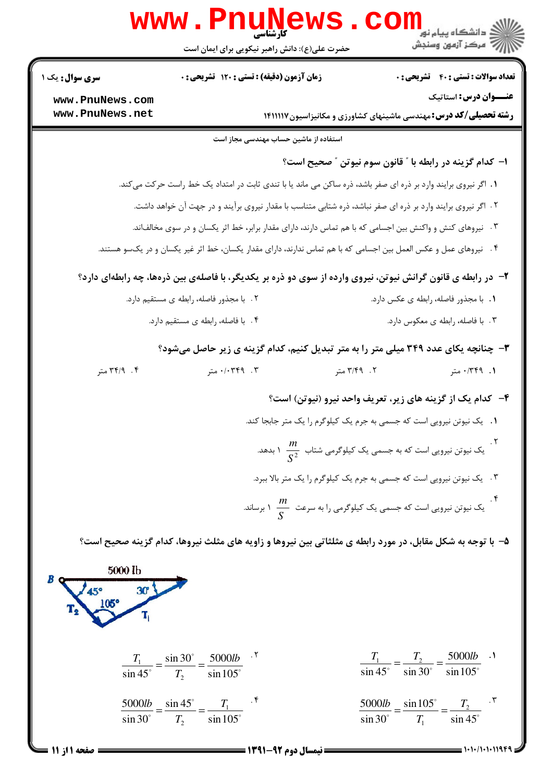|                                         | www.PnuNews                                                                                                        |                                                                                      |                                                                                           |  |
|-----------------------------------------|--------------------------------------------------------------------------------------------------------------------|--------------------------------------------------------------------------------------|-------------------------------------------------------------------------------------------|--|
|                                         | حضرت علی(ع): دانش راهبر نیکویی برای ایمان است                                                                      |                                                                                      |                                                                                           |  |
| <b>سری سوال :</b> یک ۱                  | زمان آزمون (دقیقه) : تستی : ۱۲۰ تشریحی : ۰                                                                         |                                                                                      | <b>تعداد سوالات : تستي : 40 قشريحي : 0</b>                                                |  |
| www.PnuNews.com                         |                                                                                                                    |                                                                                      | عنــوان درس: استاتیک                                                                      |  |
| www.PnuNews.net                         |                                                                                                                    |                                                                                      | <b>رشته تحصیلی/کد درس:</b> مهندسی ماشینهای کشاورزی و مکانیزاسیون۱۴۱۱۱۱۷                   |  |
|                                         | استفاده از ماشین حساب مهندسی مجاز است                                                                              |                                                                                      |                                                                                           |  |
|                                         |                                                                                                                    |                                                                                      | ا- كدام گزينه در رابطه با " قانون سوم نيوتن " صحيح است؟                                   |  |
|                                         | 1. اگر نیروی برایند وارد بر ذره ای صفر باشد، ذره ساکن می ماند یا با تندی ثابت در امتداد یک خط راست حرکت میکند.     |                                                                                      |                                                                                           |  |
|                                         | ۲. اگر نیروی برایند وارد بر ذره ای صفر نباشد، ذره شتابی متناسب با مقدار نیروی برآیند و در جهت آن خواهد داشت.       |                                                                                      |                                                                                           |  |
|                                         | ۰۳ نیروهای کنش و واکنش بین اجسامی که با هم تماس دارند، دارای مقدار برابر، خط اثر یکسان و در سوی مخالفاند.          |                                                                                      |                                                                                           |  |
|                                         | ۴.   نیروهای عمل و عکس العمل بین اجسامی که با هم تماس ندارند، دارای مقدار یکسان، خط اثر غیر یکسان و در یکسو هستند. |                                                                                      |                                                                                           |  |
|                                         | ۲- در رابطه ی قانون گرانش نیوتن، نیروی وارده از سوی دو ذره بر یکدیگر، با فاصلهی بین ذرهها، چه رابطهای دارد؟        |                                                                                      |                                                                                           |  |
| ٢. با مجذور فاصله، رابطه ي مستقيم دارد. |                                                                                                                    |                                                                                      | 1. با مجذور فاصله، رابطه ی عکس دارد.                                                      |  |
| ۰۴ با فاصله، رابطه ی مستقیم دارد.       |                                                                                                                    |                                                                                      | ۰۳ با فاصله، رابطه ی معکوس دارد.                                                          |  |
|                                         | ۳- چنانچه یکای عدد ۳۴۹ میلی متر را به متر تبدیل کنیم، کدام گزینه ی زیر حاصل میشود؟                                 |                                                                                      |                                                                                           |  |
| ۰۴ متر                                  | ۰/۰۳۴۹ .۳ متر                                                                                                      | ۲. ۳/۴۹ متر                                                                          | ۰/ ۰/۳۴۹ متر                                                                              |  |
|                                         |                                                                                                                    |                                                                                      | ۴- کدام یک از گزینه های زیر، تعریف واحد نیرو (نیوتن) است؟                                 |  |
|                                         |                                                                                                                    | ٠١. یک نیوتن نیرویی است که جسمی به جرم یک کیلوگرم را یک متر جابجا کند.               |                                                                                           |  |
|                                         |                                                                                                                    | .<br>یک نیوتن نیرویی است که به جسمی یک کیلوگرمی شتاب $\frac{m}{\varsigma^2}$ ۱ بدهد. |                                                                                           |  |
|                                         |                                                                                                                    | .<br>۳ .   یک نیوتن نیرویی است که جسمی به جرم یک کیلوگرم را یک متر بالا ببرد.        |                                                                                           |  |
|                                         |                                                                                                                    | ۰۲ .<br>یک نیوتن نیرویی است که جسمی یک کیلوگرمی را به سرعت $\frac{m}{S}$ ۱ برساند.   |                                                                                           |  |
|                                         | ۵– با توجه به شکل مقابل، در مورد رابطه ی مثلثاتی بین نیروها و زاویه های مثلث نیروها، کدام گزینه صحیح است؟          |                                                                                      |                                                                                           |  |
| 5000 lb<br>45° 30'                      |                                                                                                                    |                                                                                      |                                                                                           |  |
|                                         | $\frac{T_1}{\sin 45^\circ} = \frac{\sin 30^\circ}{T_2} = \frac{5000lb}{\sin 105^\circ}$                            |                                                                                      | $\frac{T_1}{\sin 45^\circ} = \frac{T_2}{\sin 30^\circ} = \frac{5000lb}{\sin 105^\circ}$ . |  |
|                                         | $\frac{5000lb}{\sin 30^\circ} = \frac{\sin 45^\circ}{T_2} = \frac{T_1}{\sin 105^\circ}$                            |                                                                                      | $\frac{5000lb}{\sin 30^\circ} = \frac{\sin 105^\circ}{T} = \frac{T_2}{\sin 45^\circ}$     |  |
|                                         |                                                                                                                    |                                                                                      |                                                                                           |  |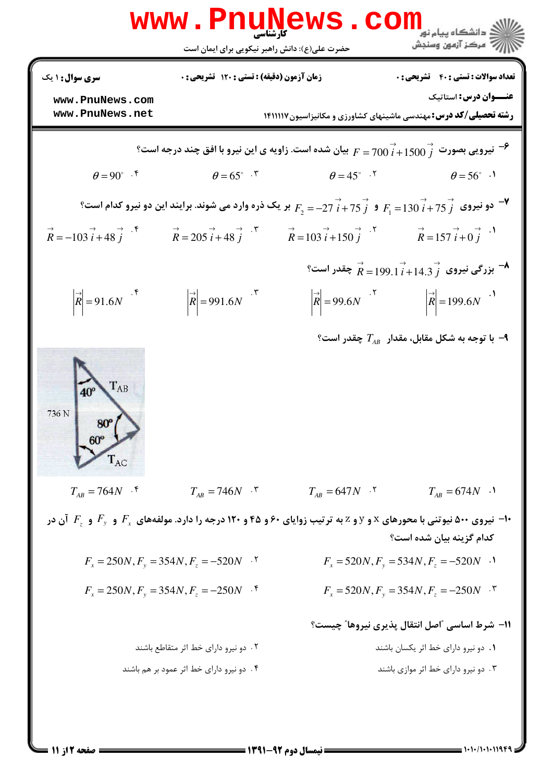|                                                                                                                                                                                                                                                                                                                                       | www.PnuNews.com<br>حضرت علی(ع): دانش راهبر نیکویی برای ایمان است                                                                            |                         | ، دانشگاه پیام نو <mark>ر</mark><br>7 مرڪز آزمون وسنڊش        |  |  |  |
|---------------------------------------------------------------------------------------------------------------------------------------------------------------------------------------------------------------------------------------------------------------------------------------------------------------------------------------|---------------------------------------------------------------------------------------------------------------------------------------------|-------------------------|---------------------------------------------------------------|--|--|--|
| <b>سری سوال :</b> ۱ یک                                                                                                                                                                                                                                                                                                                | <b>زمان آزمون (دقیقه) : تستی : 120 تشریحی : 0</b>                                                                                           |                         | <b>تعداد سوالات : تستی : 40 قشریحی : 0</b>                    |  |  |  |
| www.PnuNews.com<br>www.PnuNews.net                                                                                                                                                                                                                                                                                                    | <b>عنـــوان درس:</b> استاتیک<br><b>رشته تحصیلی/کد درس: م</b> هندسی ماشینهای کشاورزی و مکانیزاسیون۱۴۱۱۱۱۷                                    |                         |                                                               |  |  |  |
| یبان شده است. زاویه ی این نیرو با افق چند درجه است؟ $F=700\stackrel{\rightarrow}{i}+1500\stackrel{\rightarrow}{j}$ نیرویی بصورت $^{-2}$                                                                                                                                                                                               |                                                                                                                                             |                         |                                                               |  |  |  |
| $\theta = 90^{\circ}$ .                                                                                                                                                                                                                                                                                                               | $\theta = 65^{\circ}$ .                                                                                                                     | $\theta = 45^{\circ}$ . | $\theta = 56^{\circ}$ .                                       |  |  |  |
| و نیروی $\vec{j}$ 75 $\vec{j}$ و $\vec{f_1}$ + 75 $\vec{j}$ + $\vec{f_2}$ + 9 $\vec{i}$ + 75 $\vec{j}$ + 9 $F_1$ = 130 $\vec{i}$ + 75 $\vec{j}$ + 9 $\vec{k}$                                                                                                                                                                         |                                                                                                                                             |                         |                                                               |  |  |  |
| $\overrightarrow{R}$ = -103 $\overrightarrow{i}$ + 48 $\overrightarrow{j}$ + $\overrightarrow{R}$ = 205 $\overrightarrow{i}$ + 48 $\overrightarrow{j}$ + $\overrightarrow{R}$ = 103 $\overrightarrow{i}$ + 150 $\overrightarrow{j}$ + $\overrightarrow{R}$ = 157 $\overrightarrow{i}$ + 0 $\overrightarrow{j}$ + $\overrightarrow{R}$ |                                                                                                                                             |                         |                                                               |  |  |  |
|                                                                                                                                                                                                                                                                                                                                       | $^{\circ}$ بزرگی نیروی $\stackrel{\rightarrow}{R} = 199.1 \stackrel{\rightarrow}{i} + 14.3 \stackrel{\rightarrow}{j}$ چقدر است $^{\bullet}$ |                         |                                                               |  |  |  |
| $\left  \overrightarrow{R} \right  = 91.6N$                                                                                                                                                                                                                                                                                           | $ \vec{R} $ = 991.6N $\cdot$ *                                                                                                              |                         | $ \vec{R}  = 99.6N$ $ \vec{R}  = 199.6N$ $\cdot$ <sup>1</sup> |  |  |  |
| $T_{AB}$<br>$40^\circ$<br>736 N<br>$60^{\circ}$                                                                                                                                                                                                                                                                                       |                                                                                                                                             |                         | ۹− با توجه به شکل مقابل، مقدار $T_{_{AB}}$ چقدر است؟          |  |  |  |
| $T_{AB} = 764N$ .                                                                                                                                                                                                                                                                                                                     | $T_{AB} = 746N$ .                                                                                                                           | $T_{AB} = 647N$ .       | $T_{AB} = 674N$ .                                             |  |  |  |
| ا- نیروی ۵۰۰ نیوتنی با محورهای x و y و z به ترتیب زوایای ۶۰ و ۴۵ و ۱۲۰ درجه را دارد. مولفههای $F_{_{x}}$ و $F_{_{y}}$ آن در $\cdot$<br>كدام گزينه بيان شده است؟                                                                                                                                                                       |                                                                                                                                             |                         |                                                               |  |  |  |
|                                                                                                                                                                                                                                                                                                                                       | $F_x = 250N, F_y = 354N, F_z = -520N$                                                                                                       |                         | $F_x = 520N, F_y = 534N, F_z = -520N$ .                       |  |  |  |
|                                                                                                                                                                                                                                                                                                                                       | $F_x = 250N, F_y = 354N, F_z = -250N$                                                                                                       |                         | $F_x = 520N, F_y = 354N, F_z = -250N$                         |  |  |  |
|                                                                                                                                                                                                                                                                                                                                       |                                                                                                                                             |                         | 11- شرط اساسی "اصل انتقال پذیری نیروها" چیست؟                 |  |  |  |
|                                                                                                                                                                                                                                                                                                                                       | ۲. دو نیرو دارای خط اثر متقاطع باشند                                                                                                        |                         | ۰۱ دو نیرو دارای خط اثر یکسان باشند                           |  |  |  |
|                                                                                                                                                                                                                                                                                                                                       | ۴. دو نیرو دارای خط اثر عمود بر هم باشند                                                                                                    |                         | ۰۳ دو نیرو دارای خط اثر موازی باشند                           |  |  |  |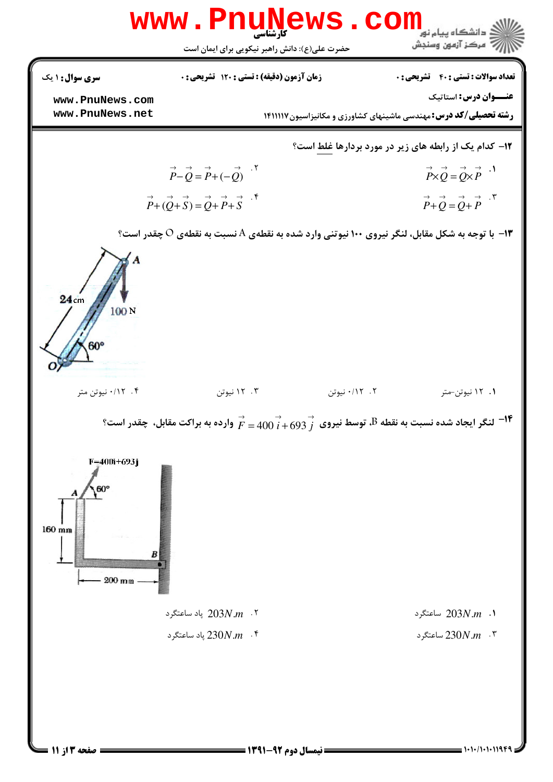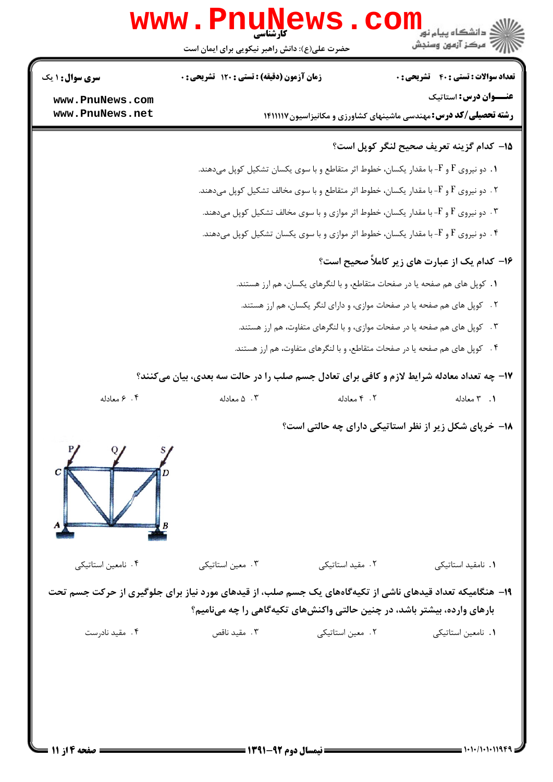|                                                                                        | www.PnuNews                                                                                               |                                                                           | ي<br>د انشگاه پيام نو <mark>ر</mark><br>7- مرکز آزمون وسنجش   |  |  |
|----------------------------------------------------------------------------------------|-----------------------------------------------------------------------------------------------------------|---------------------------------------------------------------------------|---------------------------------------------------------------|--|--|
|                                                                                        | حضرت علی(ع): دانش راهبر نیکویی برای ایمان است                                                             |                                                                           |                                                               |  |  |
| <b>سری سوال : ۱ یک</b>                                                                 | زمان آزمون (دقیقه) : تستی : ۱۲۰ تشریحی : ۰                                                                |                                                                           | <b>تعداد سوالات : تستي : 40 - تشريحي : 0</b>                  |  |  |
| www.PnuNews.com                                                                        |                                                                                                           |                                                                           | عنـــوان درس: استاتیک                                         |  |  |
| www.PnuNews.net                                                                        | <b>رشته تحصیلی/کد درس:</b> مهندسی ماشینهای کشاورزی و مکانیزاسیون۱۴۱۱۱۱۷                                   |                                                                           |                                                               |  |  |
|                                                                                        | 1۵– كدام گزينه تعريف صحيح لنگر كوپل است؟                                                                  |                                                                           |                                                               |  |  |
|                                                                                        | . دو نیروی F و F- با مقدار یکسان، خطوط اثر متقاطع و با سوی یکسان تشکیل کوپل میدهند.                       |                                                                           |                                                               |  |  |
| ۰۲ . دو نیروی F و F- با مقدار یکسان، خطوط اثر متقاطع و با سوی مخالف تشکیل کوپل میدهند. |                                                                                                           |                                                                           |                                                               |  |  |
|                                                                                        | ۰۳ دو نیروی F و F- با مقدار یکسان، خطوط اثر موازی و با سوی مخالف تشکیل کوپل میدهند.                       |                                                                           |                                                               |  |  |
|                                                                                        | ۰۴ دو نیروی F و F- با مقدار یکسان، خطوط اثر موازی و با سوی یکسان تشکیل کوپل میدهند.                       |                                                                           |                                                               |  |  |
|                                                                                        | ۱۶– کدام یک از عبارت های زیر کاملاً صحیح است؟                                                             |                                                                           |                                                               |  |  |
|                                                                                        |                                                                                                           | ۱. کوپل های هم صفحه یا در صفحات متقاطع، و با لنگرهای یکسان، هم ارز هستند. |                                                               |  |  |
|                                                                                        | ۲ . کوپل های هم صفحه یا در صفحات موازی، و دارای لنگر یکسان، هم ارز هستند.                                 |                                                                           |                                                               |  |  |
|                                                                                        | ۰۳ کوپل های هم صفحه یا در صفحات موازی، و با لنگرهای متفاوت، هم ارز هستند.                                 |                                                                           |                                                               |  |  |
|                                                                                        | ۰۴ کوپل های هم صفحه یا در صفحات متقاطع، و با لنگرهای متفاوت، هم ارز هستند.                                |                                                                           |                                                               |  |  |
|                                                                                        | ۱۷- چه تعداد معادله شرایط لازم و کافی برای تعادل جسم صلب را در حالت سه بعدی، بیان میکنند؟                 |                                                                           |                                                               |  |  |
| ۰۴ معادله                                                                              | ۰۳ . ۵ معادله                                                                                             | ۰۲ معادله                                                                 | ٠١. ٣ معادله                                                  |  |  |
|                                                                                        |                                                                                                           |                                                                           | <b>۱۸- خرپای شکل زیر از نظر استاتیکی دارای چه حالتی است</b> ؟ |  |  |
|                                                                                        |                                                                                                           |                                                                           |                                                               |  |  |
| ۰۴ نامعین استاتیکی                                                                     | ۰۳ معین استاتیکی                                                                                          | ۰۲ مقید استاتیکی                                                          | ٠١. نامقيد استاتيكى                                           |  |  |
|                                                                                        | ۱۹- هنگامیکه تعداد قیدهای ناشی از تکیهگاههای یک جسم صلب، از قیدهای مورد نیاز برای جلوگیری از حرکت جسم تحت |                                                                           |                                                               |  |  |
|                                                                                        | بارهای وارده، بیشتر باشد، در چنین حالتی واکنشهای تکیهگاهی را چه مینامیم؟                                  |                                                                           |                                                               |  |  |
| ۰۴ مقید نادرست                                                                         | ۰۳ مقید ناقص                                                                                              | ۰۲ معین استاتیکی                                                          | ٠١. نامعين استاتيكي                                           |  |  |
|                                                                                        |                                                                                                           |                                                                           |                                                               |  |  |
|                                                                                        |                                                                                                           |                                                                           |                                                               |  |  |
|                                                                                        |                                                                                                           |                                                                           |                                                               |  |  |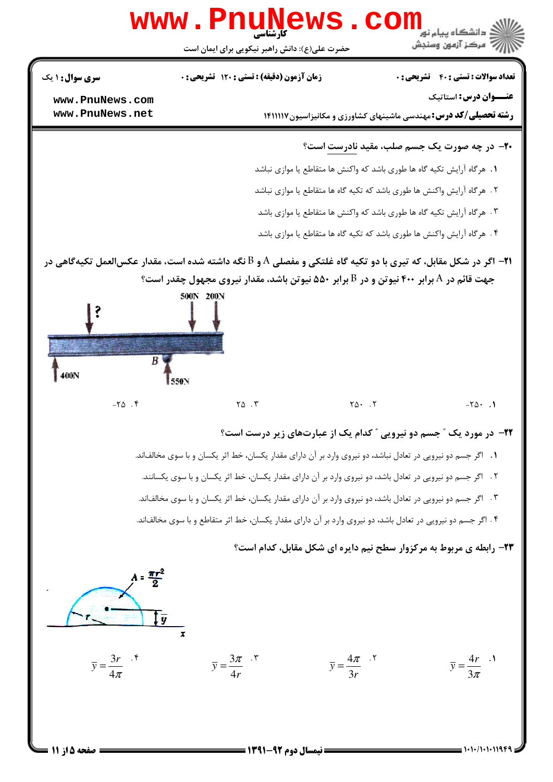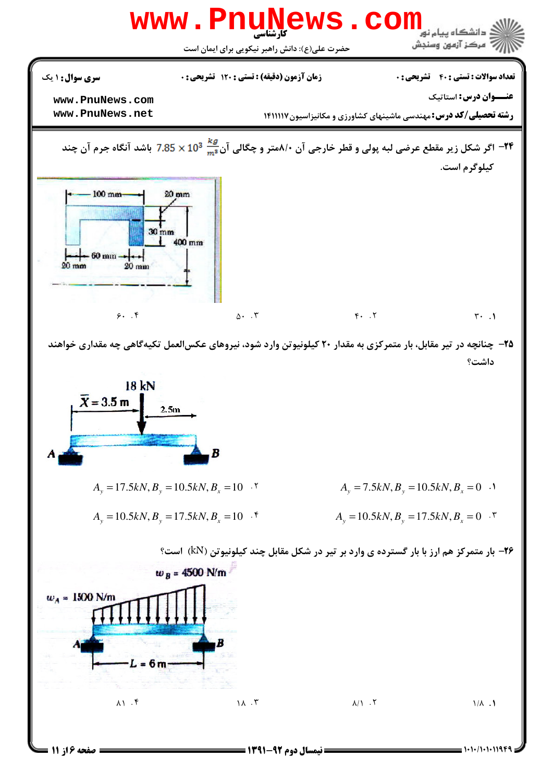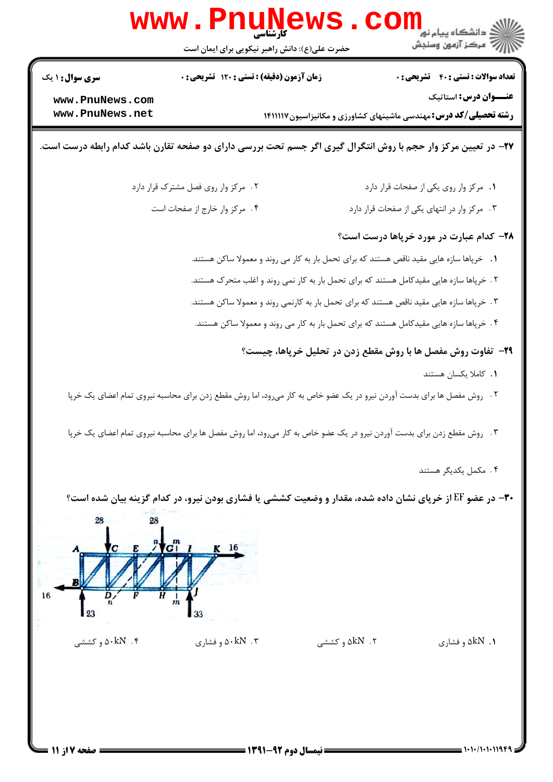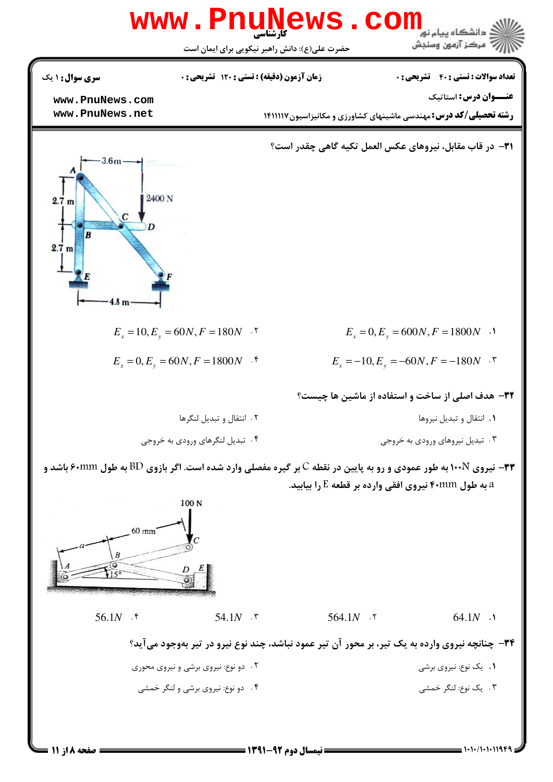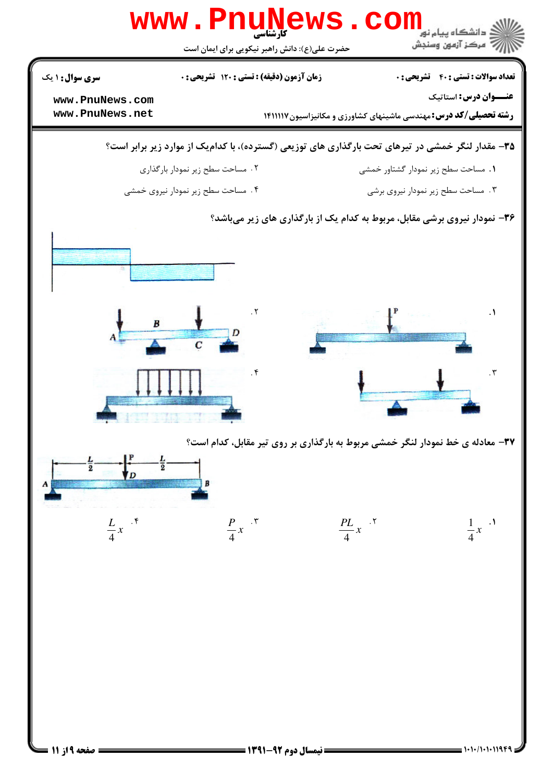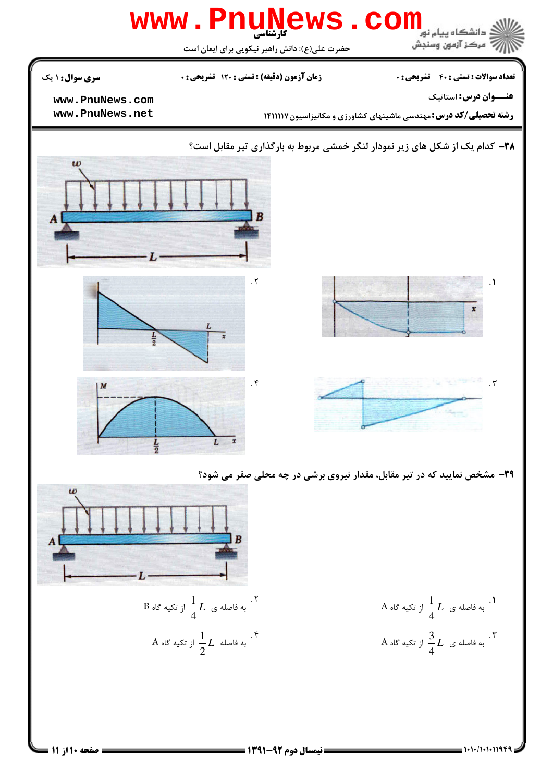